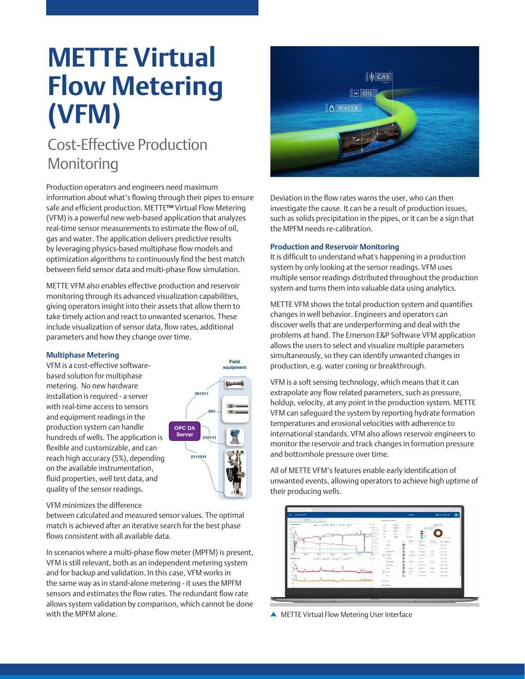# **METTE Virtual Flow Metering (VFM)**

## Cost-Effective Production Monitoring

Production operators and engineers need maximum information about what's flowing through their pipes to ensure safe and efficient production. METTE**™** Virtual Flow Metering (VFM) is a powerful new web-based application that analyzes real-time sensor measurements to estimate the flow of oil, gas and water. The application delivers predictive results by leveraging physics-based multiphase flow models and optimization algorithms to continuously find the best match between field sensor data and multi-phase flow simulation.

METTE VFM also enables effective production and reservoir monitoring through its advanced visualization capabilities, giving operators insight into their assets that allow them to take timely action and react to unwanted scenarios. These include visualization of sensor data, flow rates, additional parameters and how they change over time.

#### **Multiphase Metering**

VFM is a cost-effective softwarebased solution for multiphase metering. No new hardware installation is required - a server with real-time access to sensors and equipment readings in the production system can handle hundreds of wells. The application is flexible and customizable, and can reach high accuracy (5%), depending on the available instrumentation, fluid properties, well test data, and quality of the sensor readings.



#### VFM minimizes the difference

between calculated and measured sensor values. The optimal match is achieved after an iterative search for the best phase flows consistent with all available data.

In scenarios where a multi-phase flow meter (MPFM) is present, VFM is still relevant, both as an independent metering system and for backup and validation. In this case, VFM works in the same way as in stand-alone metering - it uses the MPFM sensors and estimates the flow rates. The redundant flow rate allows system validation by comparison, which cannot be done with the MPFM alone.



Deviation in the flow rates warns the user, who can then investigate the cause. It can be a result of production issues, such as solids precipitation in the pipes, or it can be a sign that the MPFM needs re-calibration.

#### **Production and Reservoir Monitoring**

It is difficult to understand what's happening in a production system by only looking at the sensor readings. VFM uses multiple sensor readings distributed throughout the production system and turns them into valuable data using analytics.

METTE VFM shows the total production system and quantifies changes in well behavior. Engineers and operators can discover wells that are underperforming and deal with the problems at hand. The Emerson E&P Software VFM application allows the users to select and visualize multiple parameters simultaneously, so they can identify unwanted changes in production, e.g. water coning or breakthrough.

VFM is a soft sensing technology, which means that it can extrapolate any flow related parameters, such as pressure, holdup, velocity, at any point in the production system. METTE VFM can safeguard the system by reporting hydrate formation temperatures and erosional velocities with adherence to international standards. VFM also allows reservoir engineers to monitor the reservoir and track changes in formation pressure and bottomhole pressure over time.

All of METTE VFM's features enable early identification of unwanted events, allowing operators to achieve high uptime of their producing wells.



**A** METTE Virtual Flow Metering User Interface